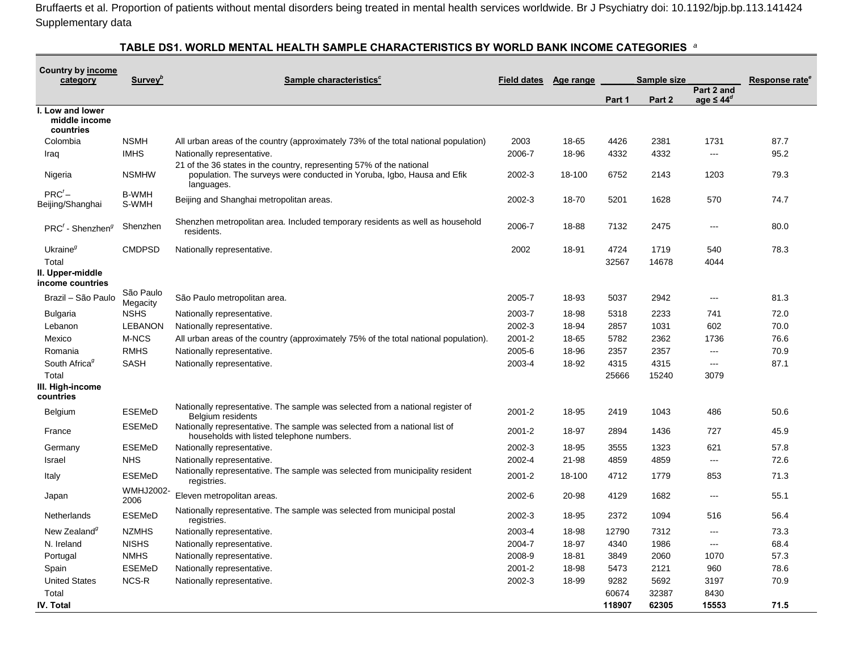Bruffaerts et al. Proportion of patients without mental disorders being treated in mental health services worldwide. Br J Psychiatry doi: 10.1192/bjp.bp.113.141424 Supplementary data

#### **TABLE DS1. WORLD MENTAL HEALTH SAMPLE CHARACTERISTICS BY WORLD BANK INCOME CATEGORIES** *<sup>a</sup>*

| <b>Country by income</b>                       |                            |                                                                                                                                                              |                    |           |               |               |                               |                            |
|------------------------------------------------|----------------------------|--------------------------------------------------------------------------------------------------------------------------------------------------------------|--------------------|-----------|---------------|---------------|-------------------------------|----------------------------|
| category                                       | <b>Survey</b> <sup>o</sup> | Sample characteristics <sup>c</sup>                                                                                                                          | <b>Field dates</b> | Age range |               | Sample size   |                               | Response rate <sup>e</sup> |
|                                                |                            |                                                                                                                                                              |                    |           | Part 1        | Part 2        | Part 2 and<br>age $\leq 44^d$ |                            |
| I. Low and lower<br>middle income<br>countries |                            |                                                                                                                                                              |                    |           |               |               |                               |                            |
| Colombia                                       | <b>NSMH</b>                | All urban areas of the country (approximately 73% of the total national population)                                                                          | 2003               | 18-65     | 4426          | 2381          | 1731                          | 87.7                       |
| Iraq                                           | <b>IMHS</b>                | Nationally representative.                                                                                                                                   | 2006-7             | 18-96     | 4332          | 4332          | $\overline{a}$                | 95.2                       |
| Nigeria                                        | <b>NSMHW</b>               | 21 of the 36 states in the country, representing 57% of the national<br>population. The surveys were conducted in Yoruba, Igbo, Hausa and Efik<br>languages. | 2002-3             | 18-100    | 6752          | 2143          | 1203                          | 79.3                       |
| PRC'<br>Beijing/Shanghai                       | <b>B-WMH</b><br>S-WMH      | Beijing and Shanghai metropolitan areas.                                                                                                                     | 2002-3             | 18-70     | 5201          | 1628          | 570                           | 74.7                       |
| $PRC'$ - Shenzhen <sup>g</sup>                 | Shenzhen                   | Shenzhen metropolitan area. Included temporary residents as well as household<br>residents.                                                                  | 2006-7             | 18-88     | 7132          | 2475          | $---$                         | 80.0                       |
| Ukraine <sup>g</sup><br>Total                  | <b>CMDPSD</b>              | Nationally representative.                                                                                                                                   | 2002               | 18-91     | 4724<br>32567 | 1719<br>14678 | 540<br>4044                   | 78.3                       |
| II. Upper-middle<br>income countries           |                            |                                                                                                                                                              |                    |           |               |               |                               |                            |
| Brazil - São Paulo                             | São Paulo<br>Megacity      | São Paulo metropolitan area.                                                                                                                                 | 2005-7             | 18-93     | 5037          | 2942          | $\overline{a}$                | 81.3                       |
| Bulgaria                                       | <b>NSHS</b>                | Nationally representative.                                                                                                                                   | 2003-7             | 18-98     | 5318          | 2233          | 741                           | 72.0                       |
| Lebanon                                        | <b>LEBANON</b>             | Nationally representative.                                                                                                                                   | 2002-3             | 18-94     | 2857          | 1031          | 602                           | 70.0                       |
| Mexico                                         | M-NCS                      | All urban areas of the country (approximately 75% of the total national population).                                                                         | $2001 - 2$         | 18-65     | 5782          | 2362          | 1736                          | 76.6                       |
| Romania                                        | <b>RMHS</b>                | Nationally representative.                                                                                                                                   | 2005-6             | 18-96     | 2357          | 2357          | $\overline{\phantom{a}}$      | 70.9                       |
| South Africa <sup>9</sup>                      | <b>SASH</b>                | Nationally representative.                                                                                                                                   | 2003-4             | 18-92     | 4315          | 4315          | $\overline{\phantom{a}}$      | 87.1                       |
| Total                                          |                            |                                                                                                                                                              |                    |           | 25666         | 15240         | 3079                          |                            |
| III. High-income<br>countries                  |                            |                                                                                                                                                              |                    |           |               |               |                               |                            |
| Belgium                                        | <b>ESEMeD</b>              | Nationally representative. The sample was selected from a national register of<br>Belgium residents                                                          | $2001 - 2$         | 18-95     | 2419          | 1043          | 486                           | 50.6                       |
| France                                         | <b>ESEMeD</b>              | Nationally representative. The sample was selected from a national list of<br>households with listed telephone numbers.                                      | $2001 - 2$         | 18-97     | 2894          | 1436          | 727                           | 45.9                       |
| Germany                                        | <b>ESEMeD</b>              | Nationally representative.                                                                                                                                   | 2002-3             | 18-95     | 3555          | 1323          | 621                           | 57.8                       |
| Israel                                         | <b>NHS</b>                 | Nationally representative.                                                                                                                                   | 2002-4             | 21-98     | 4859          | 4859          | $\overline{\phantom{a}}$      | 72.6                       |
| Italy                                          | <b>ESEMeD</b>              | Nationally representative. The sample was selected from municipality resident<br>registries.                                                                 | $2001 - 2$         | 18-100    | 4712          | 1779          | 853                           | 71.3                       |
| Japan                                          | <b>WMHJ2002-</b><br>2006   | Eleven metropolitan areas.                                                                                                                                   | 2002-6             | 20-98     | 4129          | 1682          | $\sim$                        | 55.1                       |
| Netherlands                                    | <b>ESEMeD</b>              | Nationally representative. The sample was selected from municipal postal<br>registries.                                                                      | 2002-3             | 18-95     | 2372          | 1094          | 516                           | 56.4                       |
| New Zealand <sup>9</sup>                       | <b>NZMHS</b>               | Nationally representative.                                                                                                                                   | 2003-4             | 18-98     | 12790         | 7312          | $\sim$                        | 73.3                       |
| N. Ireland                                     | <b>NISHS</b>               | Nationally representative.                                                                                                                                   | 2004-7             | 18-97     | 4340          | 1986          | $\sim$ $\sim$                 | 68.4                       |
| Portugal                                       | <b>NMHS</b>                | Nationally representative.                                                                                                                                   | 2008-9             | 18-81     | 3849          | 2060          | 1070                          | 57.3                       |
| Spain                                          | <b>ESEMeD</b>              | Nationally representative.                                                                                                                                   | $2001 - 2$         | 18-98     | 5473          | 2121          | 960                           | 78.6                       |
| <b>United States</b>                           | NCS-R                      | Nationally representative.                                                                                                                                   | 2002-3             | 18-99     | 9282          | 5692          | 3197                          | 70.9                       |
| Total                                          |                            |                                                                                                                                                              |                    |           | 60674         | 32387         | 8430                          |                            |
| IV. Total                                      |                            |                                                                                                                                                              |                    |           | 118907        | 62305         | 15553                         | 71.5                       |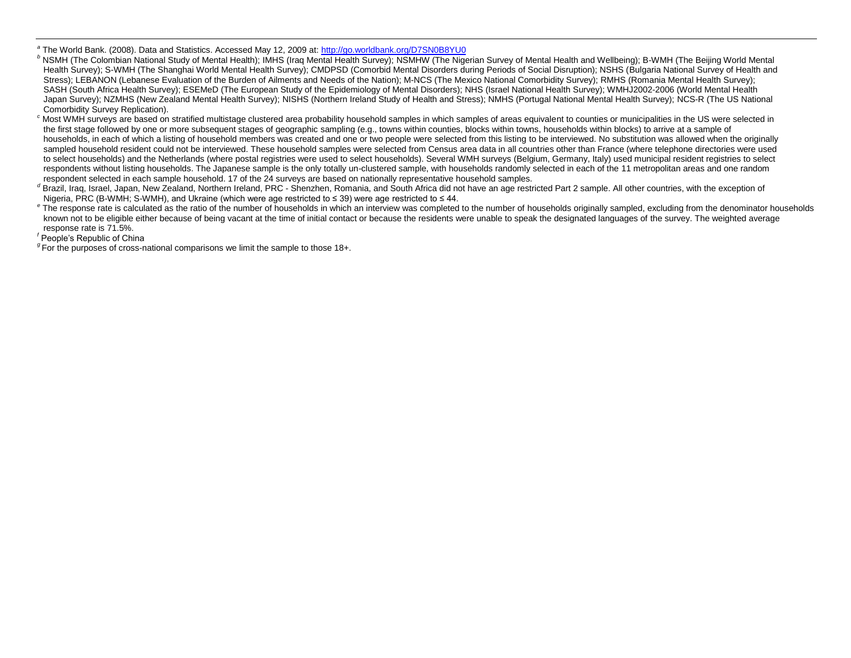*a* The World Bank. (2008). Data and Statistics. Accessed May 12, 2009 at:<http://go.worldbank.org/D7SN0B8YU0>

*<sup>b</sup>* NSMH (The Colombian National Study of Mental Health); IMHS (Iraq Mental Health Survey); NSMHW (The Nigerian Survey of Mental Health and Wellbeing); B-WMH (The Beijing World Mental Health Survey); S-WMH (The Shanghai World Mental Health Survey); CMDPSD (Comorbid Mental Disorders during Periods of Social Disruption); NSHS (Bulgaria National Survey of Health and Stress); LEBANON (Lebanese Evaluation of the Burden of Ailments and Needs of the Nation); M-NCS (The Mexico National Comorbidity Survey); RMHS (Romania Mental Health Survey); SASH (South Africa Health Survey); ESEMeD (The European Study of the Epidemiology of Mental Disorders); NHS (Israel National Health Survey); WMHJ2002-2006 (World Mental Health Japan Survey); NZMHS (New Zealand Mental Health Survey); NISHS (Northern Ireland Study of Health and Stress); NMHS (Portugal National Mental Health Survey); NCS-R (The US National Comorbidity Survey Replication).

<sup>c</sup> Most WMH surveys are based on stratified multistage clustered area probability household samples in which samples of areas equivalent to counties or municipalities in the US were selected in the first stage followed by one or more subsequent stages of geographic sampling (e.g., towns within counties, blocks within towns, households within blocks) to arrive at a sample of households, in each of which a listing of household members was created and one or two people were selected from this listing to be interviewed. No substitution was allowed when the originally sampled household resident could not be interviewed. These household samples were selected from Census area data in all countries other than France (where telephone directories were used to select households) and the Netherlands (where postal registries were used to select households). Several WMH surveys (Belgium, Germany, Italy) used municipal resident registries to select respondents without listing households. The Japanese sample is the only totally un-clustered sample, with households randomly selected in each of the 11 metropolitan areas and one random respondent selected in each sample household. 17 of the 24 surveys are based on nationally representative household samples.

<sup>d</sup> Brazil, Iraq, Israel, Japan, New Zealand, Northern Ireland, PRC - Shenzhen, Romania, and South Africa did not have an age restricted Part 2 sample. All other countries, with the exception of Nigeria, PRC (B-WMH; S-WMH), and Ukraine (which were age restricted to ≤ 39) were age restricted to ≤ 44.

<sup>e</sup> The response rate is calculated as the ratio of the number of households in which an interview was completed to the number of households originally sampled, excluding from the denominator households known not to be eligible either because of being vacant at the time of initial contact or because the residents were unable to speak the designated languages of the survey. The weighted average response rate is 71.5%.

*<sup>f</sup>* People's Republic of China

*g* For the purposes of cross-national comparisons we limit the sample to those 18+.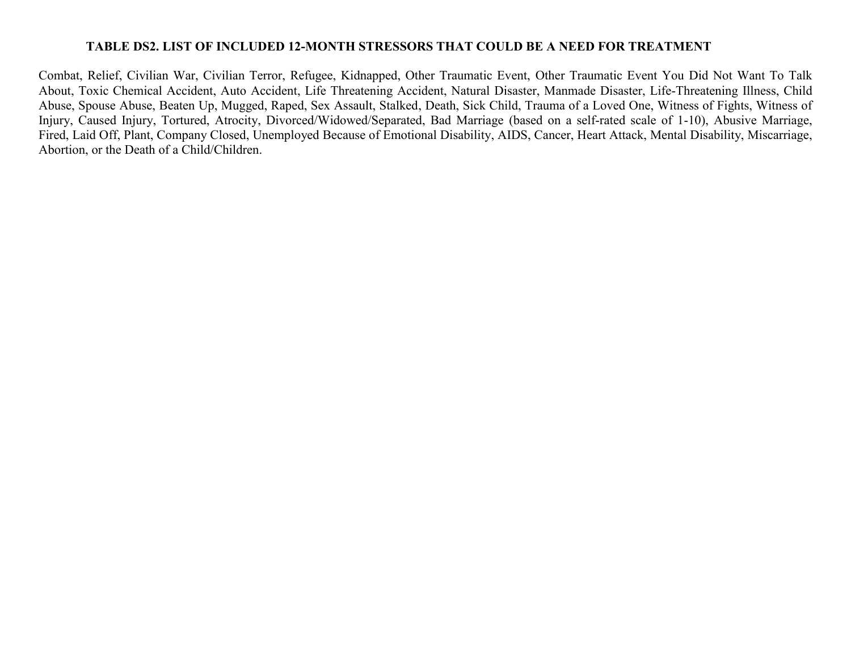#### **TABLE DS2. LIST OF INCLUDED 12-MONTH STRESSORS THAT COULD BE A NEED FOR TREATMENT**

Combat, Relief, Civilian War, Civilian Terror, Refugee, Kidnapped, Other Traumatic Event, Other Traumatic Event You Did Not Want To Talk About, Toxic Chemical Accident, Auto Accident, Life Threatening Accident, Natural Disaster, Manmade Disaster, Life-Threatening Illness, Child Abuse, Spouse Abuse, Beaten Up, Mugged, Raped, Sex Assault, Stalked, Death, Sick Child, Trauma of a Loved One, Witness of Fights, Witness of Injury, Caused Injury, Tortured, Atrocity, Divorced/Widowed/Separated, Bad Marriage (based on a self-rated scale of 1-10), Abusive Marriage, Fired, Laid Off, Plant, Company Closed, Unemployed Because of Emotional Disability, AIDS, Cancer, Heart Attack, Mental Disability, Miscarriage, Abortion, or the Death of a Child/Children.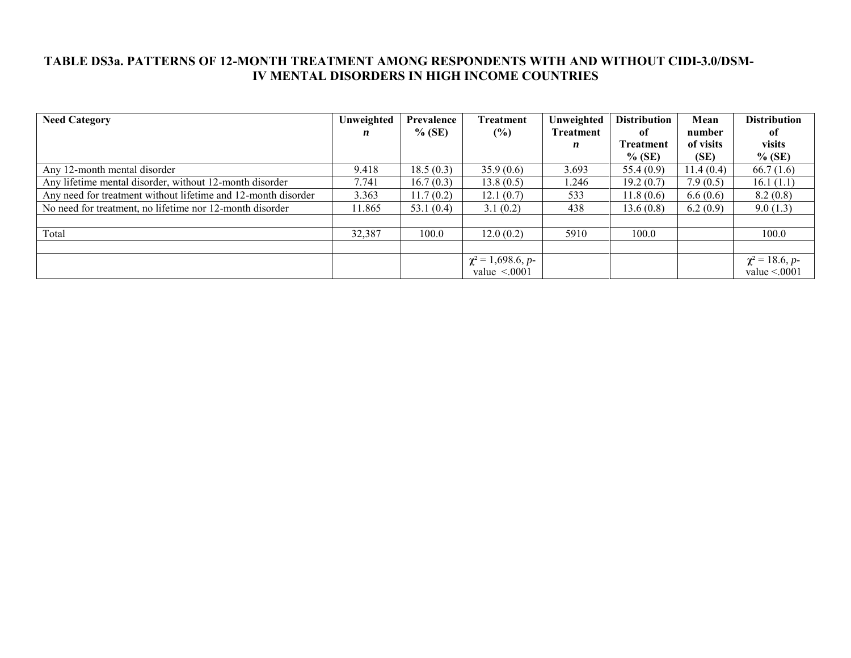### **TABLE DS3a. PATTERNS OF 12-MONTH TREATMENT AMONG RESPONDENTS WITH AND WITHOUT CIDI-3.0/DSM-IV MENTAL DISORDERS IN HIGH INCOME COUNTRIES**

| <b>Need Category</b>                                          | Unweighted | Prevalence | Treatment              | Unweighted       | <b>Distribution</b> | Mean      | <b>Distribution</b> |
|---------------------------------------------------------------|------------|------------|------------------------|------------------|---------------------|-----------|---------------------|
|                                                               | n          | $%$ (SE)   | (%)                    | <b>Treatment</b> | 0f                  | number    | -of                 |
|                                                               |            |            |                        | n                | <b>Treatment</b>    | of visits | visits              |
|                                                               |            |            |                        |                  | $%$ (SE)            | (SE)      | $%$ (SE)            |
| Any 12-month mental disorder                                  | 9.418      | 18.5(0.3)  | 35.9(0.6)              | 3.693            | 55.4(0.9)           | 11.4(0.4) | 66.7(1.6)           |
| Any lifetime mental disorder, without 12-month disorder       | 7.741      | 16.7(0.3)  | 13.8(0.5)              | 1.246            | 19.2(0.7)           | 7.9(0.5)  | 16.1(1.1)           |
| Any need for treatment without lifetime and 12-month disorder | 3.363      | 11.7(0.2)  | 12.1(0.7)              | 533              | 11.8(0.6)           | 6.6(0.6)  | 8.2(0.8)            |
| No need for treatment, no lifetime nor 12-month disorder      | 11.865     | 53.1(0.4)  | 3.1(0.2)               | 438              | 13.6(0.8)           | 6.2(0.9)  | 9.0(1.3)            |
|                                                               |            |            |                        |                  |                     |           |                     |
| Total                                                         | 32.387     | 100.0      | 12.0(0.2)              | 5910             | 100.0               |           | 100.0               |
|                                                               |            |            |                        |                  |                     |           |                     |
|                                                               |            |            | $\chi^2$ = 1,698.6, p- |                  |                     |           | $\chi^2$ = 18.6, p- |
|                                                               |            |            | value $\leq 0.001$     |                  |                     |           | value $\leq 0.001$  |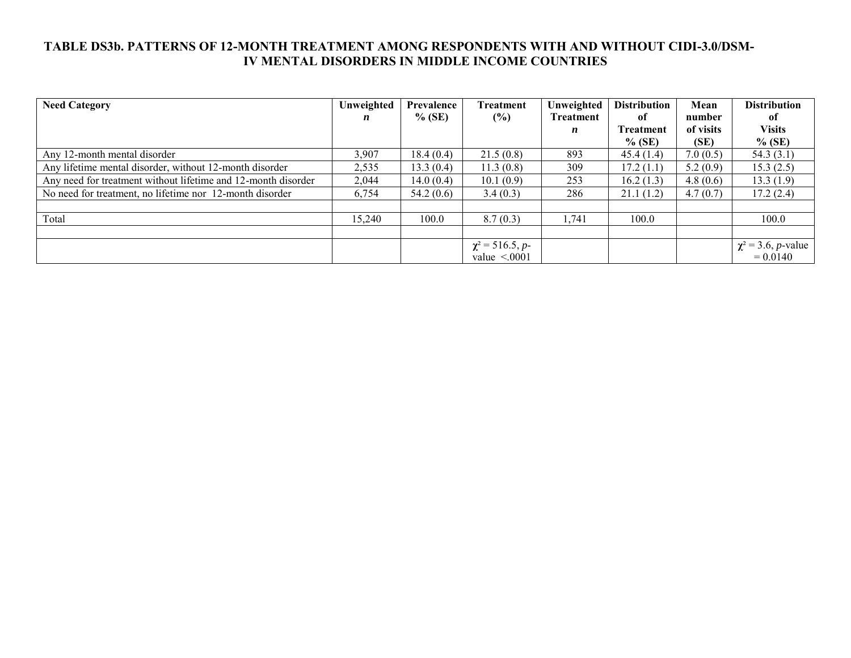#### **TABLE DS3b. PATTERNS OF 12-MONTH TREATMENT AMONG RESPONDENTS WITH AND WITHOUT CIDI-3.0/DSM-IV MENTAL DISORDERS IN MIDDLE INCOME COUNTRIES**

| <b>Need Category</b>                                          | Unweighted | Prevalence | <b>Treatment</b>     | Unweighted       | <b>Distribution</b> | Mean      | <b>Distribution</b>             |
|---------------------------------------------------------------|------------|------------|----------------------|------------------|---------------------|-----------|---------------------------------|
|                                                               | n          | $%$ (SE)   | (%)                  | <b>Treatment</b> | -of                 | number    | -of                             |
|                                                               |            |            |                      | n                | Treatment           | of visits | <b>Visits</b>                   |
|                                                               |            |            |                      |                  | $%$ (SE)            | (SE)      | $%$ (SE)                        |
| Any 12-month mental disorder                                  | 3.907      | 18.4(0.4)  | 21.5(0.8)            | 893              | 45.4(1.4)           | 7.0(0.5)  | 54.3(3.1)                       |
| Any lifetime mental disorder, without 12-month disorder       | 2,535      | 13.3(0.4)  | 11.3(0.8)            | 309              | 17.2(1.1)           | 5.2(0.9)  | 15.3(2.5)                       |
| Any need for treatment without lifetime and 12-month disorder | 2,044      | 14.0(0.4)  | 10.1(0.9)            | 253              | 16.2(1.3)           | 4.8(0.6)  | 13.3(1.9)                       |
| No need for treatment, no lifetime nor 12-month disorder      | 6,754      | 54.2(0.6)  | 3.4(0.3)             | 286              | 21.1(1.2)           | 4.7(0.7)  | 17.2(2.4)                       |
|                                                               |            |            |                      |                  |                     |           |                                 |
| Total                                                         | 15.240     | 100.0      | 8.7(0.3)             | 1,741            | 100.0               |           | 100.0                           |
|                                                               |            |            |                      |                  |                     |           |                                 |
|                                                               |            |            | $\chi^2$ = 516.5, p- |                  |                     |           | $\chi^2$ = 3.6, <i>p</i> -value |
|                                                               |            |            | value $\leq 0.001$   |                  |                     |           | $= 0.0140$                      |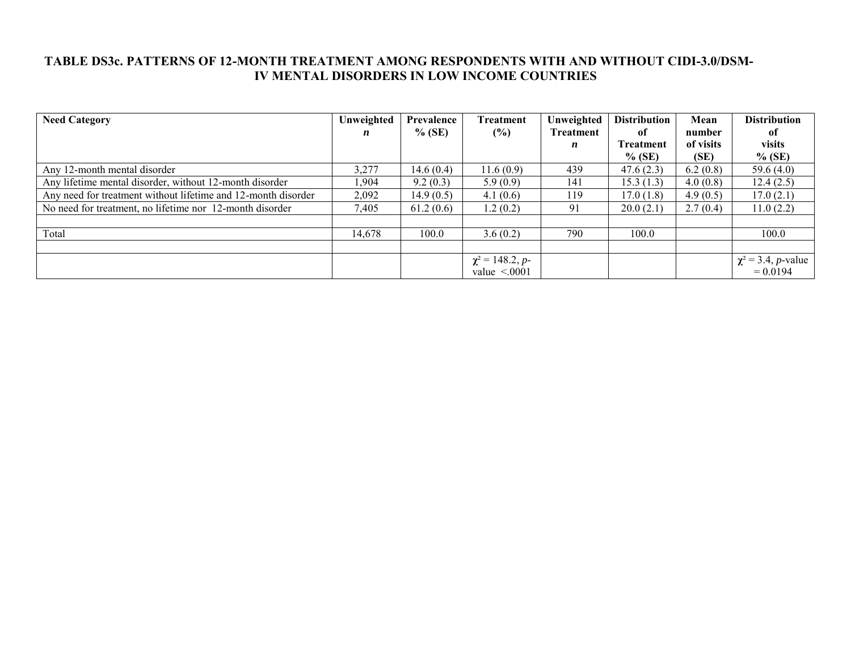### **TABLE DS3c. PATTERNS OF 12-MONTH TREATMENT AMONG RESPONDENTS WITH AND WITHOUT CIDI-3.0/DSM-IV MENTAL DISORDERS IN LOW INCOME COUNTRIES**

| <b>Need Category</b>                                          | Unweighted | Prevalence | <b>Treatment</b>     | Unweighted       | <b>Distribution</b> | Mean      | <b>Distribution</b>             |
|---------------------------------------------------------------|------------|------------|----------------------|------------------|---------------------|-----------|---------------------------------|
|                                                               | n          | $%$ (SE)   | (%)                  | <b>Treatment</b> | 0f                  | number    | -of                             |
|                                                               |            |            |                      | n                | <b>Treatment</b>    | of visits | visits                          |
|                                                               |            |            |                      |                  | $%$ (SE)            | (SE)      | $%$ (SE)                        |
| Any 12-month mental disorder                                  | 3,277      | 14.6(0.4)  | 11.6(0.9)            | 439              | 47.6(2.3)           | 6.2(0.8)  | 59.6 $(4.0)$                    |
| Any lifetime mental disorder, without 12-month disorder       | .904       | 9.2(0.3)   | 5.9(0.9)             | 141              | 15.3(1.3)           | 4.0(0.8)  | 12.4(2.5)                       |
| Any need for treatment without lifetime and 12-month disorder | 2,092      | 14.9(0.5)  | 4.1 $(0.6)$          | 119              | 17.0(1.8)           | 4.9(0.5)  | 17.0(2.1)                       |
| No need for treatment, no lifetime nor 12-month disorder      | 7,405      | 61.2(0.6)  | 1.2(0.2)             | 91               | 20.0(2.1)           | 2.7(0.4)  | 11.0(2.2)                       |
|                                                               |            |            |                      |                  |                     |           |                                 |
| Total                                                         | 14.678     | 100.0      | 3.6(0.2)             | 790              | 100.0               |           | 100.0                           |
|                                                               |            |            |                      |                  |                     |           |                                 |
|                                                               |            |            | $\chi^2$ = 148.2, p- |                  |                     |           | $\chi^2$ = 3.4, <i>p</i> -value |
|                                                               |            |            | value $\leq 0.001$   |                  |                     |           | $= 0.0194$                      |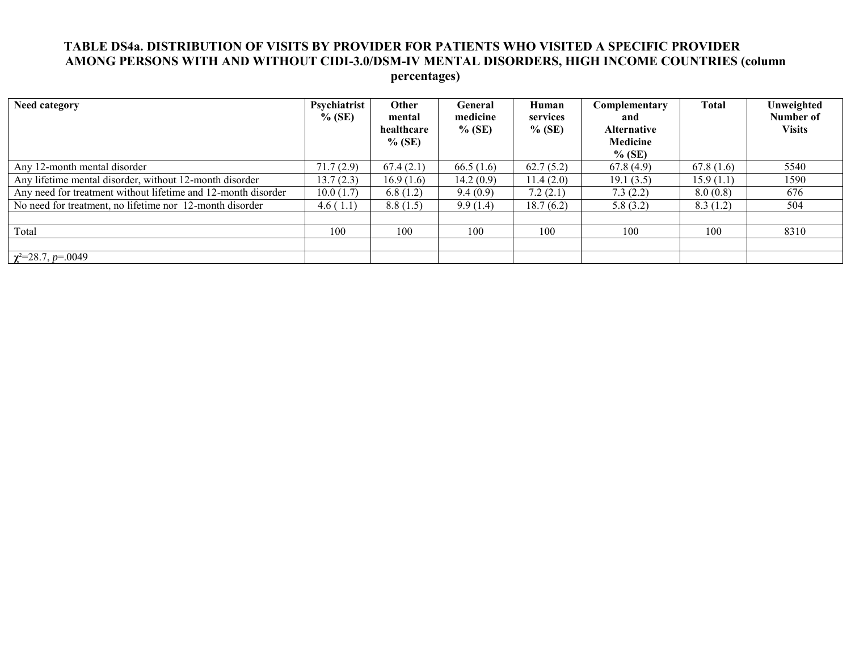# **TABLE DS4a. DISTRIBUTION OF VISITS BY PROVIDER FOR PATIENTS WHO VISITED A SPECIFIC PROVIDER AMONG PERSONS WITH AND WITHOUT CIDI-3.0/DSM-IV MENTAL DISORDERS, HIGH INCOME COUNTRIES (column**

**percentages)**

| <b>Need category</b>                                          | Psychiatrist | Other      | General   | Human     | Complementary      | Total     | Unweighted    |
|---------------------------------------------------------------|--------------|------------|-----------|-----------|--------------------|-----------|---------------|
|                                                               | $%$ (SE)     | mental     | medicine  | services  | and                |           | Number of     |
|                                                               |              | healthcare | $%$ (SE)  | $%$ (SE)  | <b>Alternative</b> |           | <b>Visits</b> |
|                                                               |              | $%$ (SE)   |           |           | Medicine           |           |               |
|                                                               |              |            |           |           | $%$ (SE)           |           |               |
| Any 12-month mental disorder                                  | 71.7(2.9)    | 67.4(2.1)  | 66.5(1.6) | 62.7(5.2) | 67.8(4.9)          | 67.8(1.6) | 5540          |
| Any lifetime mental disorder, without 12-month disorder       | 13.7(2.3)    | 16.9(1.6)  | 14.2(0.9) | 11.4(2.0) | 19.1(3.5)          | 15.9(1.1) | 1590          |
| Any need for treatment without lifetime and 12-month disorder | 10.0(1.7)    | 6.8(1.2)   | 9.4(0.9)  | 7.2(2.1)  | 7.3(2.2)           | 8.0(0.8)  | 676           |
| No need for treatment, no lifetime nor 12-month disorder      | 4.6(1.1)     | 8.8(1.5)   | 9.9(1.4)  | 18.7(6.2) | 5.8(3.2)           | 8.3(1.2)  | 504           |
|                                                               |              |            |           |           |                    |           |               |
| Total                                                         | 100          | 100        | 100       | 100       | 100                | 100       | 8310          |
|                                                               |              |            |           |           |                    |           |               |
| $\chi^2 = 28.7, p = 0.049$                                    |              |            |           |           |                    |           |               |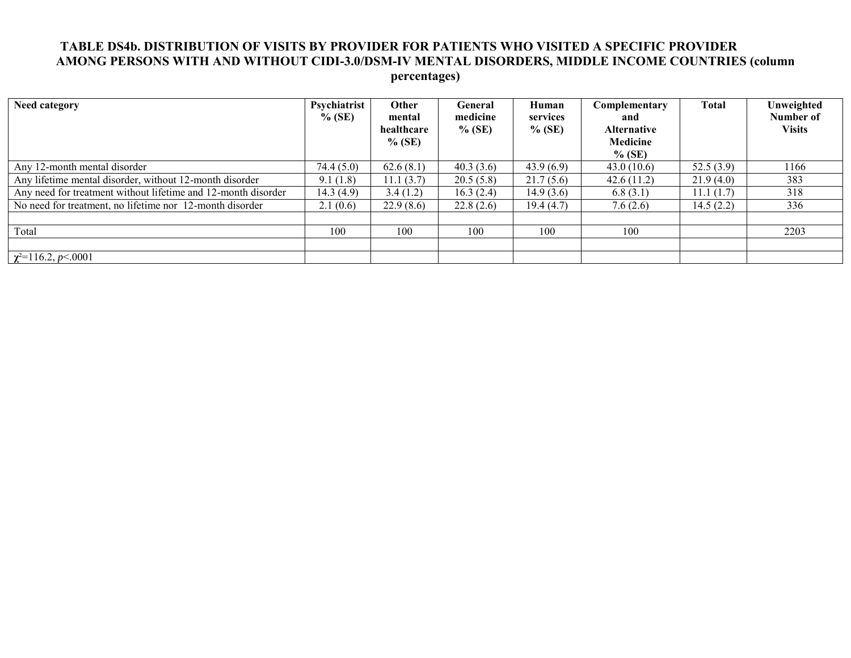# **TABLE DS4b. DISTRIBUTION OF VISITS BY PROVIDER FOR PATIENTS WHO VISITED A SPECIFIC PROVIDER AMONG PERSONS WITH AND WITHOUT CIDI-3.0/DSM-IV MENTAL DISORDERS, MIDDLE INCOME COUNTRIES (column**

**percentages)**

| Need category                                                 | Psychiatrist | <b>Other</b> | General   | Human     | <b>Complementary</b> | Total      | Unweighted    |
|---------------------------------------------------------------|--------------|--------------|-----------|-----------|----------------------|------------|---------------|
|                                                               | $%$ (SE)     | mental       | medicine  | services  | and                  |            | Number of     |
|                                                               |              | healthcare   | $%$ (SE)  | $%$ (SE)  | <b>Alternative</b>   |            | <b>Visits</b> |
|                                                               |              | $%$ (SE)     |           |           | Medicine             |            |               |
|                                                               |              |              |           |           | $%$ (SE)             |            |               |
| Any 12-month mental disorder                                  | 74.4(5.0)    | 62.6(8.1)    | 40.3(3.6) | 43.9(6.9) | 43.0(10.6)           | 52.5(3.9)  | 1166          |
| Any lifetime mental disorder, without 12-month disorder       | 9.1(1.8)     | 11.1(3.7)    | 20.5(5.8) | 21.7(5.6) | 42.6(11.2)           | 21.9(4.0)  | 383           |
| Any need for treatment without lifetime and 12-month disorder | 14.3(4.9)    | 3.4(1.2)     | 16.3(2.4) | 14.9(3.6) | 6.8(3.1)             | 11.1 (1.7) | 318           |
| No need for treatment, no lifetime nor 12-month disorder      | 2.1(0.6)     | 22.9(8.6)    | 22.8(2.6) | 19.4(4.7) | 7.6(2.6)             | 14.5(2.2)  | 336           |
|                                                               |              |              |           |           |                      |            |               |
| Total                                                         | 100          | 100          | 100       | 100       | 100                  |            | 2203          |
|                                                               |              |              |           |           |                      |            |               |
| $\chi^2=116.2, p<.0001$                                       |              |              |           |           |                      |            |               |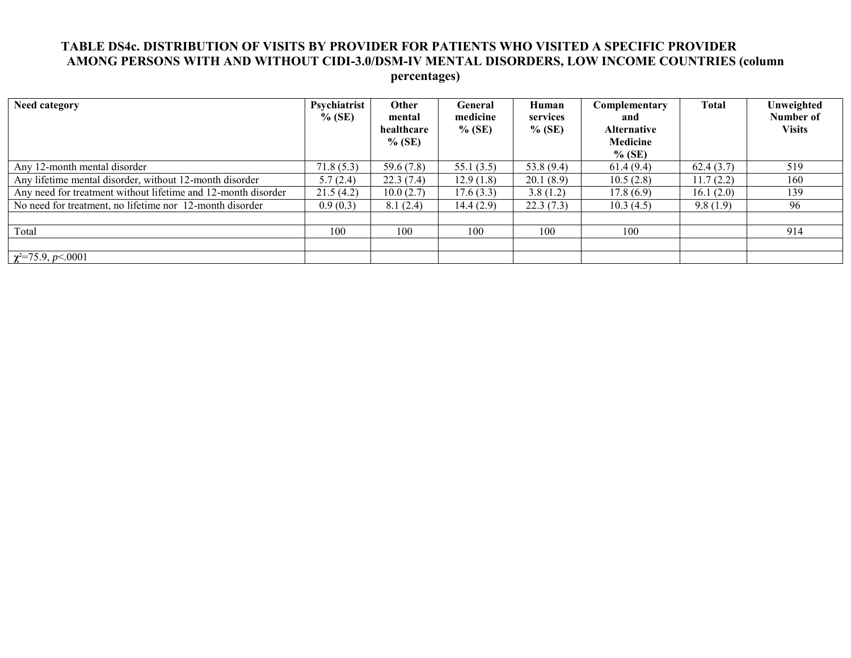# **TABLE DS4c. DISTRIBUTION OF VISITS BY PROVIDER FOR PATIENTS WHO VISITED A SPECIFIC PROVIDER AMONG PERSONS WITH AND WITHOUT CIDI-3.0/DSM-IV MENTAL DISORDERS, LOW INCOME COUNTRIES (column**

**percentages)**

| <b>Need category</b>                                          | Psychiatrist | Other      | General   | Human     | Complementary      | Total     | Unweighted    |
|---------------------------------------------------------------|--------------|------------|-----------|-----------|--------------------|-----------|---------------|
|                                                               | $%$ (SE)     | mental     | medicine  | services  | and                |           | Number of     |
|                                                               |              | healthcare | $%$ (SE)  | $%$ (SE)  | <b>Alternative</b> |           | <b>Visits</b> |
|                                                               |              | $%$ (SE)   |           |           | Medicine           |           |               |
|                                                               |              |            |           |           | $%$ (SE)           |           |               |
| Any 12-month mental disorder                                  | 71.8(5.3)    | 59.6(7.8)  | 55.1(3.5) | 53.8(9.4) | 61.4(9.4)          | 62.4(3.7) | 519           |
| Any lifetime mental disorder, without 12-month disorder       | 5.7(2.4)     | 22.3(7.4)  | 12.9(1.8) | 20.1(8.9) | 10.5(2.8)          | 11.7(2.2) | 160           |
| Any need for treatment without lifetime and 12-month disorder | 21.5(4.2)    | 10.0(2.7)  | 17.6(3.3) | 3.8(1.2)  | 17.8(6.9)          | 16.1(2.0) | 139           |
| No need for treatment, no lifetime nor 12-month disorder      | 0.9(0.3)     | 8.1(2.4)   | 14.4(2.9) | 22.3(7.3) | 10.3(4.5)          | 9.8(1.9)  | 96            |
|                                                               |              |            |           |           |                    |           |               |
| Total                                                         | 100          | 100        | 100       | 100       | 100                |           | 914           |
|                                                               |              |            |           |           |                    |           |               |
| $\chi^2 = 75.9, p < 0001$                                     |              |            |           |           |                    |           |               |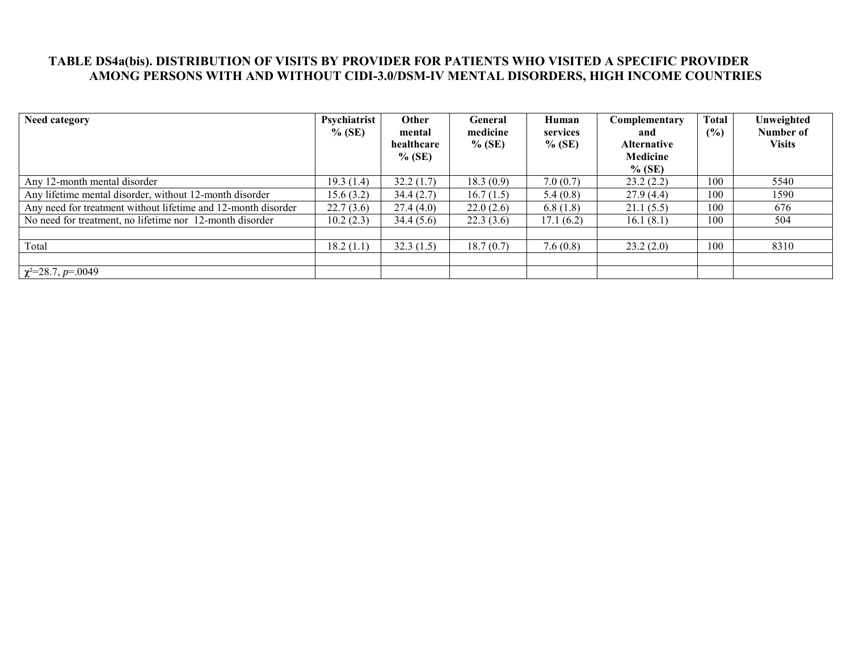## **TABLE DS4a(bis). DISTRIBUTION OF VISITS BY PROVIDER FOR PATIENTS WHO VISITED A SPECIFIC PROVIDER AMONG PERSONS WITH AND WITHOUT CIDI-3.0/DSM-IV MENTAL DISORDERS, HIGH INCOME COUNTRIES**

| Need category                                                 | Psychiatrist<br>$%$ (SE) | Other<br>mental<br>healthcare<br>$%$ (SE) | General<br>medicine<br>$%$ (SE) | Human<br>services<br>$%$ (SE) | Complementary<br>and<br><b>Alternative</b><br>Medicine<br>$%$ (SE) | <b>Total</b><br>(%) | Unweighted<br>Number of<br><b>Visits</b> |
|---------------------------------------------------------------|--------------------------|-------------------------------------------|---------------------------------|-------------------------------|--------------------------------------------------------------------|---------------------|------------------------------------------|
| Any 12-month mental disorder                                  | 19.3(1.4)                | 32.2(1.7)                                 | 18.3(0.9)                       | 7.0(0.7)                      | 23.2(2.2)                                                          | 100                 | 5540                                     |
| Any lifetime mental disorder, without 12-month disorder       | 15.6(3.2)                | 34.4(2.7)                                 | 16.7(1.5)                       | 5.4(0.8)                      | 27.9(4.4)                                                          | 100                 | 1590                                     |
| Any need for treatment without lifetime and 12-month disorder | 22.7(3.6)                | 27.4(4.0)                                 | 22.0(2.6)                       | 6.8(1.8)                      | 21.1(5.5)                                                          | 100                 | 676                                      |
| No need for treatment, no lifetime nor 12-month disorder      | 10.2(2.3)                | 34.4(5.6)                                 | 22.3(3.6)                       | 17.1(6.2)                     | 16.1(8.1)                                                          | 100                 | 504                                      |
|                                                               |                          |                                           |                                 |                               |                                                                    |                     |                                          |
| Total                                                         | 18.2(1.1)                | 32.3(1.5)                                 | 18.7(0.7)                       | 7.6(0.8)                      | 23.2(2.0)                                                          | 100                 | 8310                                     |
|                                                               |                          |                                           |                                 |                               |                                                                    |                     |                                          |
| $\chi^2 = 28.7, p = 0.049$                                    |                          |                                           |                                 |                               |                                                                    |                     |                                          |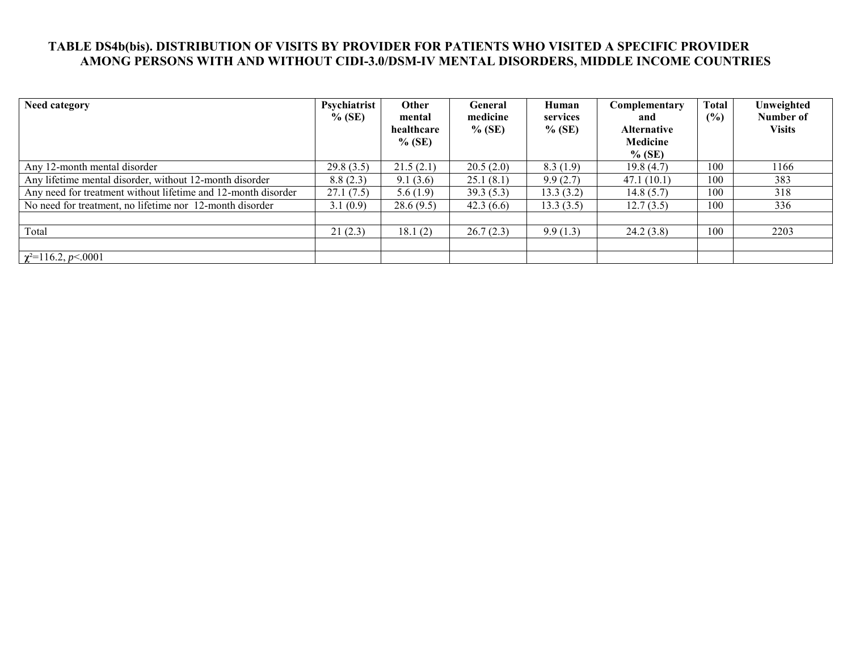#### **TABLE DS4b(bis). DISTRIBUTION OF VISITS BY PROVIDER FOR PATIENTS WHO VISITED A SPECIFIC PROVIDER AMONG PERSONS WITH AND WITHOUT CIDI-3.0/DSM-IV MENTAL DISORDERS, MIDDLE INCOME COUNTRIES**

| Need category                                                 | Psychiatrist<br>$%$ (SE) | Other<br>mental<br>healthcare<br>$%$ (SE) | General<br>medicine<br>$%$ (SE) | Human<br>services<br>$%$ (SE) | Complementary<br>and<br><b>Alternative</b><br>Medicine | <b>Total</b><br>$(\%)$ | Unweighted<br>Number of<br><b>Visits</b> |
|---------------------------------------------------------------|--------------------------|-------------------------------------------|---------------------------------|-------------------------------|--------------------------------------------------------|------------------------|------------------------------------------|
|                                                               |                          |                                           |                                 |                               | $%$ (SE)                                               |                        |                                          |
| Any 12-month mental disorder                                  | 29.8(3.5)                | 21.5(2.1)                                 | 20.5(2.0)                       | 8.3(1.9)                      | 19.8(4.7)                                              | 100                    | 1166                                     |
| Any lifetime mental disorder, without 12-month disorder       | 8.8(2.3)                 | 9.1(3.6)                                  | 25.1(8.1)                       | 9.9(2.7)                      | 47.1(10.1)                                             | 100                    | 383                                      |
| Any need for treatment without lifetime and 12-month disorder | 27.1(7.5)                | 5.6(1.9)                                  | 39.3(5.3)                       | 13.3(3.2)                     | 14.8(5.7)                                              | 100                    | 318                                      |
| No need for treatment, no lifetime nor 12-month disorder      | 3.1(0.9)                 | 28.6(9.5)                                 | 42.3(6.6)                       | 13.3(3.5)                     | 12.7(3.5)                                              | 100                    | 336                                      |
|                                                               |                          |                                           |                                 |                               |                                                        |                        |                                          |
| Total                                                         | 21(2.3)                  | 18.1(2)                                   | 26.7(2.3)                       | 9.9(1.3)                      | 24.2(3.8)                                              | 100                    | 2203                                     |
|                                                               |                          |                                           |                                 |                               |                                                        |                        |                                          |
| $\chi^2=116.2, p<.0001$                                       |                          |                                           |                                 |                               |                                                        |                        |                                          |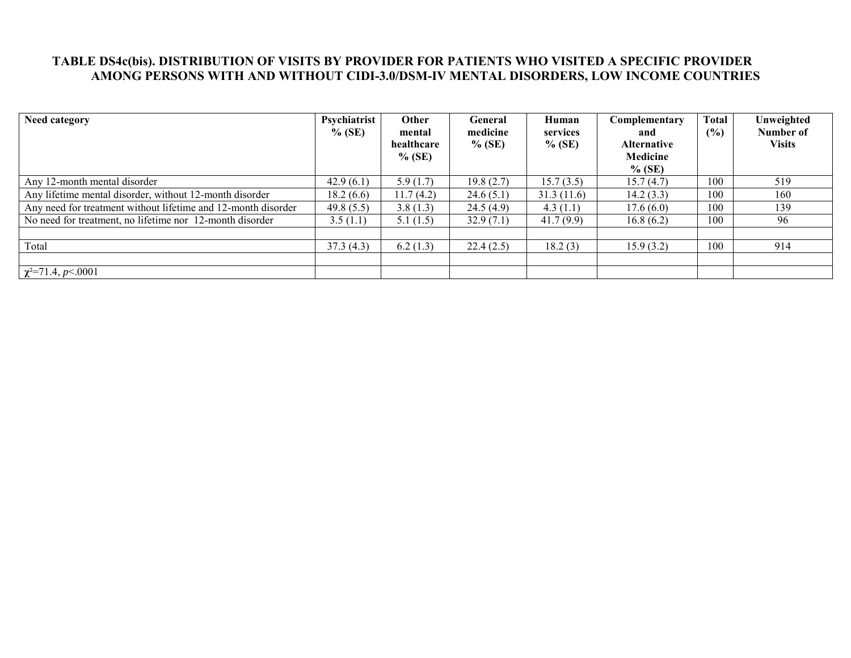### **TABLE DS4c(bis). DISTRIBUTION OF VISITS BY PROVIDER FOR PATIENTS WHO VISITED A SPECIFIC PROVIDER AMONG PERSONS WITH AND WITHOUT CIDI-3.0/DSM-IV MENTAL DISORDERS, LOW INCOME COUNTRIES**

| <b>Need category</b>                                          | Psychiatrist<br>$%$ (SE) | Other<br>mental<br>healthcare<br>$%$ (SE) | General<br>medicine<br>$%$ (SE) | Human<br>services<br>$%$ (SE) | Complementary<br>and<br><b>Alternative</b><br>Medicine<br>$%$ (SE) | <b>Total</b><br>(%) | Unweighted<br>Number of<br><b>Visits</b> |
|---------------------------------------------------------------|--------------------------|-------------------------------------------|---------------------------------|-------------------------------|--------------------------------------------------------------------|---------------------|------------------------------------------|
| Any 12-month mental disorder                                  | 42.9(6.1)                | 5.9(1.7)                                  | 19.8(2.7)                       | 15.7(3.5)                     | 15.7(4.7)                                                          | 100                 | 519                                      |
| Any lifetime mental disorder, without 12-month disorder       | 18.2 (6.6)               | 11.7(4.2)                                 | 24.6(5.1)                       | 31.3(11.6)                    | 14.2(3.3)                                                          | 100                 | 160                                      |
| Any need for treatment without lifetime and 12-month disorder | 49.8(5.5)                | 3.8(1.3)                                  | 24.5(4.9)                       | 4.3(1.1)                      | 17.6(6.0)                                                          | 100                 | 139                                      |
| No need for treatment, no lifetime nor 12-month disorder      | 3.5(1.1)                 | 5.1(1.5)                                  | 32.9(7.1)                       | 41.7(9.9)                     | 16.8(6.2)                                                          | 100                 | 96                                       |
|                                                               |                          |                                           |                                 |                               |                                                                    |                     |                                          |
| Total                                                         | 37.3(4.3)                | 6.2(1.3)                                  | 22.4(2.5)                       | 18.2(3)                       | 15.9(3.2)                                                          | 100                 | 914                                      |
|                                                               |                          |                                           |                                 |                               |                                                                    |                     |                                          |
| $\chi^2 = 71.4, p < 0001$                                     |                          |                                           |                                 |                               |                                                                    |                     |                                          |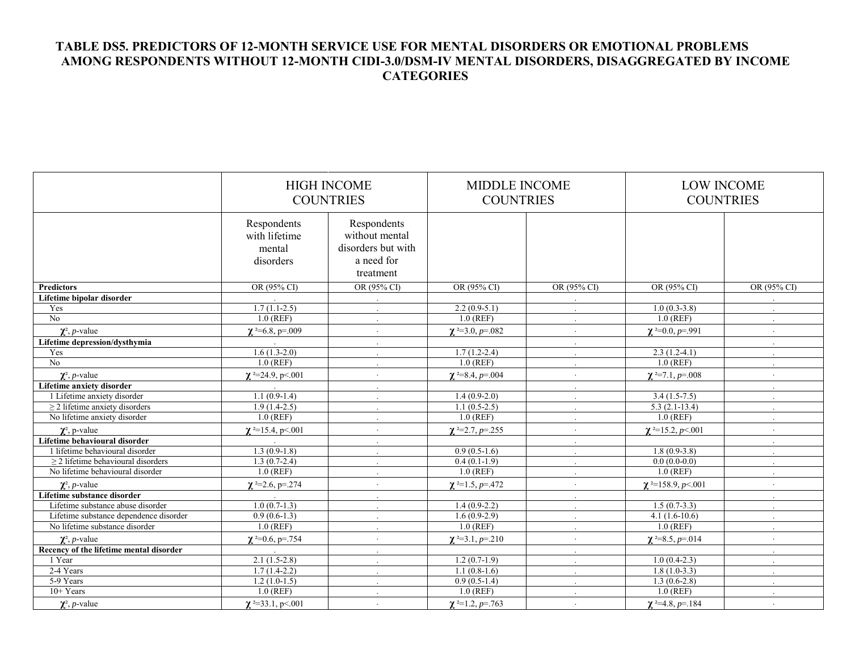### **TABLE DS5. PREDICTORS OF 12-MONTH SERVICE USE FOR MENTAL DISORDERS OR EMOTIONAL PROBLEMS AMONG RESPONDENTS WITHOUT 12-MONTH CIDI-3.0/DSM-IV MENTAL DISORDERS, DISAGGREGATED BY INCOME CATEGORIES**

|                                         |                                                     | <b>HIGH INCOME</b><br><b>COUNTRIES</b>                                         | <b>MIDDLE INCOME</b><br><b>COUNTRIES</b> |             | <b>LOW INCOME</b><br><b>COUNTRIES</b> |             |
|-----------------------------------------|-----------------------------------------------------|--------------------------------------------------------------------------------|------------------------------------------|-------------|---------------------------------------|-------------|
|                                         | Respondents<br>with lifetime<br>mental<br>disorders | Respondents<br>without mental<br>disorders but with<br>a need for<br>treatment |                                          |             |                                       |             |
| <b>Predictors</b>                       | OR (95% CI)                                         | OR (95% CI)                                                                    | OR (95% CI)                              | OR (95% CI) | OR (95% CI)                           | OR (95% CI) |
| Lifetime bipolar disorder               |                                                     |                                                                                |                                          |             |                                       |             |
| Yes                                     | $1.7(1.1-2.5)$                                      |                                                                                | $2.2(0.9-5.1)$                           |             | $1.0(0.3-3.8)$                        |             |
| N <sub>o</sub>                          | $1.0$ (REF)                                         |                                                                                | $1.0$ (REF)                              |             | $1.0$ (REF)                           |             |
| $\chi^2$ , <i>p</i> -value              | $\chi$ <sup>2=6.8</sup> , p=.009                    | $\cdot$                                                                        | $\chi^{2=3.0, p=.082}$                   |             | $\chi^{2}$ =0.0, p=.991               |             |
| Lifetime depression/dysthymia           |                                                     |                                                                                |                                          |             |                                       |             |
| Yes                                     | $1.6(1.3-2.0)$                                      |                                                                                | $1.7(1.2-2.4)$                           |             | $2.3(1.2-4.1)$                        |             |
| No                                      | $1.0$ (REF)                                         |                                                                                | $1.0$ (REF)                              |             | $1.0$ (REF)                           |             |
| $\chi^2$ , <i>p</i> -value              | $\chi$ <sup>2=24.9</sup> , p<.001                   |                                                                                | $\chi^{2=8.4, p=.004}$                   |             | $\chi$ <sup>2=7.1</sup> , p=.008      |             |
| Lifetime anxiety disorder               |                                                     |                                                                                |                                          |             |                                       |             |
| 1 Lifetime anxiety disorder             | $1.1(0.9-1.4)$                                      |                                                                                | $1.4(0.9-2.0)$                           |             | $3.4(1.5-7.5)$                        |             |
| $>$ 2 lifetime anxiety disorders        | $1.9(1.4-2.5)$                                      |                                                                                | $1.1(0.5-2.5)$                           |             | $5.3(2.1-13.4)$                       |             |
| No lifetime anxiety disorder            | $1.0$ (REF)                                         |                                                                                | $1.0$ (REF)                              |             | $1.0$ (REF)                           |             |
| $\chi^2$ , p-value                      | $\chi$ <sup>2</sup> =15.4, p<.001                   |                                                                                | $\chi$ <sup>2=2.7</sup> , p=.255         |             | $\chi$ <sup>2</sup> =15.2, p < 001    |             |
| Lifetime behavioural disorder           |                                                     |                                                                                |                                          |             |                                       |             |
| 1 lifetime behavioural disorder         | $1.3(0.9-1.8)$                                      |                                                                                | $0.9(0.5-1.6)$                           |             | $1.8(0.9-3.8)$                        |             |
| $>$ 2 lifetime behavioural disorders    | $1.3(0.7-2.4)$                                      |                                                                                | $0.4(0.1-1.9)$                           |             | $0.0(0.0-0.0)$                        |             |
| No lifetime behavioural disorder        | $1.0$ (REF)                                         |                                                                                | $1.0$ (REF)                              |             | $1.0$ (REF)                           |             |
| $\chi^2$ , <i>p</i> -value              | $\chi$ <sup>2=2.6</sup> , p=.274                    | $\cdot$                                                                        | $\chi$ <sup>2</sup> =1.5, p=.472         | $\sim$      | $\chi$ <sup>2</sup> =158.9, p < 001   |             |
| Lifetime substance disorder             |                                                     |                                                                                |                                          |             |                                       |             |
| Lifetime substance abuse disorder       | $1.0(0.7-1.3)$                                      |                                                                                | $1.4(0.9-2.2)$                           |             | $1.5(0.7-3.3)$                        |             |
| Lifetime substance dependence disorder  | $0.9(0.6-1.3)$                                      |                                                                                | $1.6(0.9-2.9)$                           |             | $4.1(1.6-10.6)$                       |             |
| No lifetime substance disorder          | $1.0$ (REF)                                         |                                                                                | $1.0$ (REF)                              |             | $1.0$ (REF)                           |             |
| $\chi^2$ , <i>p</i> -value              | $\chi$ <sup>2=0.6</sup> , p=.754                    |                                                                                | $\chi^{2=3.1, p=.210}$                   |             | $\chi$ <sup>2=8.5</sup> , p=.014      |             |
| Recency of the lifetime mental disorder |                                                     |                                                                                |                                          |             |                                       |             |
| 1 Year                                  | $2.1(1.5-2.8)$                                      |                                                                                | $1.2(0.7-1.9)$                           |             | $1.0(0.4-2.3)$                        |             |
| 2-4 Years                               | $1.7(1.4-2.2)$                                      |                                                                                | $1.1(0.8-1.6)$                           |             | $1.8(1.0-3.3)$                        |             |
| 5-9 Years                               | $1.2(1.0-1.5)$                                      |                                                                                | $0.9(0.5-1.4)$                           |             | $1.3(0.6-2.8)$                        |             |
| $10+Years$                              | $1.0$ (REF)                                         |                                                                                | $1.0$ (REF)                              |             | $1.0$ (REF)                           |             |
| $\chi^2$ , <i>p</i> -value              | $\chi$ <sup>2=33.1</sup> , p<.001                   |                                                                                | $\chi$ <sup>2</sup> =1.2, p=.763         |             | $\chi$ <sup>2=4.8</sup> , p=.184      |             |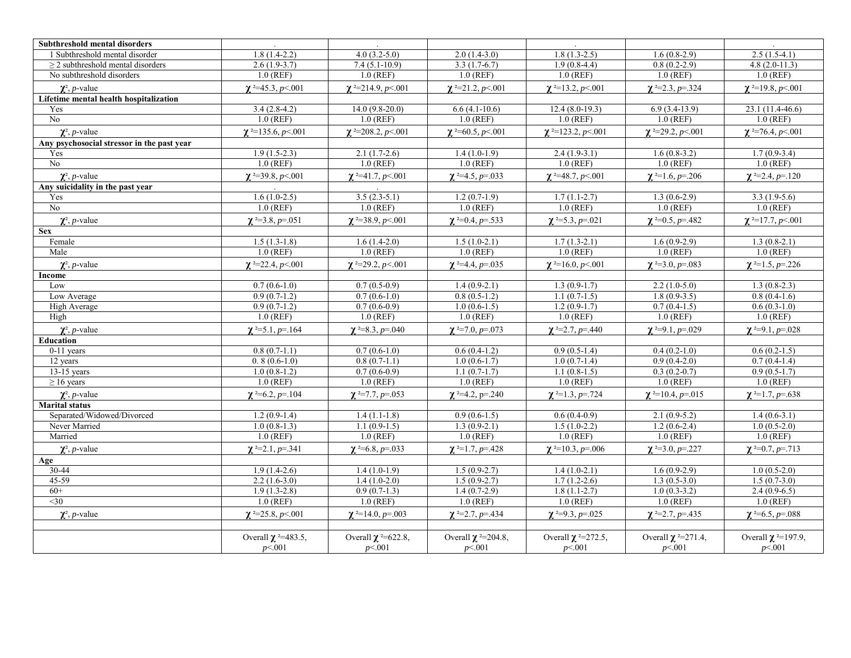| Subthreshold mental disorders              |                                     |                                           |                                     |                                           |                                     |                                      |
|--------------------------------------------|-------------------------------------|-------------------------------------------|-------------------------------------|-------------------------------------------|-------------------------------------|--------------------------------------|
| 1 Subthreshold mental disorder             | $1.8(1.4-2.2)$                      | $4.0(3.2-5.0)$                            | $2.0(1.4-3.0)$                      | $1.8(1.3-2.5)$                            | $\overline{1.6}$ (0.8-2.9)          | $2.5(1.5-4.1)$                       |
| $\geq$ 2 subthreshold mental disorders     | $2.6(1.9-3.7)$                      | $7.4(5.1-10.9)$                           | $3.3(1.7-6.7)$                      | $1.9(0.8-4.4)$                            | $0.8(0.2-2.9)$                      | $4.8(2.0-11.3)$                      |
| No subthreshold disorders                  | $1.0$ (REF)                         | $1.0$ (REF)                               | $1.0$ (REF)                         | $1.0$ (REF)                               | $1.0$ (REF)                         | $1.0$ (REF)                          |
| $\chi^2$ , <i>p</i> -value                 | $\chi$ <sup>2=45.3</sup> , p < 001  | $\chi$ <sup>2</sup> =214.9, p <.001       | $\chi$ <sup>2=21.2</sup> , p < 001  | $\chi$ <sup>2=13.2</sup> , p < 001        | $\chi$ <sup>2=2.3</sup> , p=.324    | $\chi$ <sup>2</sup> =19.8, p<.001    |
| Lifetime mental health hospitalization     |                                     |                                           |                                     |                                           |                                     |                                      |
| Yes                                        | $3.4(2.8-4.2)$                      | $14.0(9.8-20.0)$                          | $6.6(4.1-10.6)$                     | $12.4(8.0-19.3)$                          | $6.9(3.4-13.9)$                     | $23.1(11.4-46.6)$                    |
| No                                         | $1.0$ (REF)                         | $1.0$ (REF)                               | $1.0$ (REF)                         | $1.0$ (REF)                               | $1.0$ (REF)                         | $1.0$ (REF)                          |
| $\chi^2$ , <i>p</i> -value                 | $\chi$ <sup>2</sup> =135.6, p < 001 | $\chi$ <sup>2</sup> =208.2, p < 001       | $\chi$ <sup>2=60.5</sup> , p < 001  | $\chi$ <sup>2</sup> =123.2, p < 001       | $\chi$ <sup>2=29.2</sup> , p < 001  | $\chi$ <sup>2=76.4</sup> , p < 001   |
| Any psychosocial stressor in the past year |                                     |                                           |                                     |                                           |                                     |                                      |
| Yes                                        | $1.9(1.5-2.3)$                      | $2.1(1.7-2.6)$                            | $1.4(1.0-1.9)$                      | $2.4(1.9-3.1)$                            | $1.6(0.8-3.2)$                      | $1.7(0.9-3.4)$                       |
| No                                         | $1.0$ (REF)                         | $1.0$ (REF)                               | $1.0$ (REF)                         | $1.0$ (REF)                               | $1.0$ (REF)                         | $1.0$ (REF)                          |
| $\chi^2$ , <i>p</i> -value                 | $\chi$ <sup>2</sup> =39.8, p < 001  | $\chi$ <sup>2</sup> =41.7, p < 001        | $\chi$ <sup>2</sup> =4.5, p=.033    | $\chi$ <sup>2</sup> =48.7, p < 001        | $\chi$ <sup>2=1.6</sup> , p=.206    | $\chi$ <sup>2=2.4</sup> , p=.120     |
| Any suicidality in the past year           |                                     |                                           |                                     |                                           |                                     |                                      |
| Yes                                        | $1.6(1.0-2.5)$                      | $3.5(2.3-5.1)$                            | $1.2(0.7-1.9)$                      | $1.7(1.1-2.7)$                            | $1.3(0.6-2.9)$                      | $3.3(1.9-5.6)$                       |
| No                                         | $1.0$ (REF)                         | $1.0$ (REF)                               | $1.0$ (REF)                         | $1.0$ (REF)                               | $1.0$ (REF)                         | $1.0$ (REF)                          |
| $\chi^2$ , <i>p</i> -value                 | $\chi$ <sup>2=3.8</sup> , p=.051    | $\chi$ <sup>2=38.9</sup> , p < 001        | $\chi^2$ =0.4, p=.533               | $\chi$ <sup>2=5.3</sup> , p=.021          | $\chi$ <sup>2=0.5</sup> , p=.482    | $\chi$ <sup>2=17.7, p &lt; 001</sup> |
| <b>Sex</b>                                 |                                     |                                           |                                     |                                           |                                     |                                      |
| Female                                     | $1.5(1.3-1.8)$                      | $1.6(1.4-2.0)$                            | $1.5(1.0-2.1)$                      | $1.7(1.3-2.1)$                            | $1.6(0.9-2.9)$                      | $1.3(0.8-2.1)$                       |
| Male                                       | $1.0$ (REF)                         | $1.0$ (REF)                               | $1.0$ (REF)                         | $1.0$ (REF)                               | $1.0$ (REF)                         | $1.0$ (REF)                          |
| $\chi^2$ , <i>p</i> -value                 | $\chi$ <sup>2=22.4</sup> , p < 001  | $\chi$ <sup>2=29.2</sup> , <i>p</i> < 001 | $\chi$ <sup>2</sup> =4.4, p=.035    | $\chi$ <sup>2=16.0</sup> , <i>p</i> < 001 | $\chi$ <sup>2=3.0</sup> , p=.083    | $\chi$ <sup>2=1.5</sup> , p=.226     |
| <b>Income</b>                              |                                     |                                           |                                     |                                           |                                     |                                      |
| Low                                        | $0.7(0.6-1.0)$                      | $0.7(0.5-0.9)$                            | $1.4(0.9-2.1)$                      | $1.3(0.9-1.7)$                            | $2.2(1.0-5.0)$                      | $1.3(0.8-2.3)$                       |
| Low Average                                | $0.9(0.7-1.2)$                      | $0.7(0.6-1.0)$                            | $0.8(0.5-1.2)$                      | $1.1(0.7-1.5)$                            | $1.8(0.9-3.5)$                      | $0.8(0.4-1.6)$                       |
| High Average                               | $0.9(0.7-1.2)$                      | $0.7(0.6-0.9)$                            | $1.0(0.6-1.5)$                      | $1.2(0.9-1.7)$                            | $0.7(0.4-1.5)$                      | $0.6(0.3-1.0)$                       |
| High                                       | $1.0$ (REF)                         | $1.0$ (REF)                               | $1.0$ (REF)                         | $1.0$ (REF)                               | $1.0$ (REF)                         | $1.0$ (REF)                          |
| $\chi^2$ , <i>p</i> -value                 | $\chi$ <sup>2=5.1</sup> , p=.164    | $\chi$ <sup>2=8.3</sup> , p=.040          | $\chi$ <sup>2=7.0</sup> , p=.073    | $\chi$ <sup>2=2.7</sup> , p=.440          | $\chi^{2=9.1, p=.029}$              | $\chi^{2=9.1, p=.028}$               |
| <b>Education</b>                           |                                     |                                           |                                     |                                           |                                     |                                      |
| $0-11$ years                               | $0.8(0.7-1.1)$                      | $0.7(0.6-1.0)$                            | $0.6(0.4-1.2)$                      | $0.9(0.5-1.4)$                            | $0.4(0.2-1.0)$                      | $0.6(0.2-1.5)$                       |
| 12 years                                   | $0.8(0.6-1.0)$                      | $0.8(0.7-1.1)$                            | $1.0(0.6-1.7)$                      | $1.0(0.7-1.4)$                            | $0.9(0.4-2.0)$                      | $0.7(0.4-1.4)$                       |
| 13-15 years                                | $1.0(0.8-1.2)$                      | $0.7(0.6-0.9)$                            | $1.1(0.7-1.7)$                      | $1.1(0.8-1.5)$                            | $0.3(0.2-0.7)$                      | $0.9(0.5-1.7)$                       |
| $\geq$ 16 years                            | $1.0$ (REF)                         | $1.0$ (REF)                               | $1.0$ (REF)                         | $1.0$ (REF)                               | $1.0$ (REF)                         | $1.0$ (REF)                          |
| $\chi^2$ , <i>p</i> -value                 | $\chi$ <sup>2=6.2</sup> , p=.104    | $\gamma$ <sup>2</sup> =7.7, p=.053        | $\chi$ <sup>2=4.2</sup> , p=.240    | $\chi$ <sup>2</sup> =1.3, p=.724          | $\chi$ <sup>2</sup> =10.4, p=.015   | $\chi$ <sup>2=1.7</sup> , p=.638     |
| <b>Marital status</b>                      |                                     |                                           |                                     |                                           |                                     |                                      |
| Separated/Widowed/Divorced                 | $1.2(0.9-1.4)$                      | $1.4(1.1-1.8)$                            | $0.9(0.6-1.5)$                      | $0.6(0.4-0.9)$                            | $2.1(0.9-5.2)$                      | $1.4(0.6-3.1)$                       |
| Never Married<br>Married                   | $1.0(0.8-1.3)$<br>$1.0$ (REF)       | $1.1(0.9-1.5)$<br>$1.0$ (REF)             | $1.3(0.9-2.1)$<br>$1.0$ (REF)       | $1.5(1.0-2.2)$<br>$1.0$ (REF)             | $1.2(0.6-2.4)$<br>$1.0$ (REF)       | $1.0(0.5-2.0)$                       |
|                                            |                                     |                                           |                                     |                                           |                                     | $1.0$ (REF)                          |
| $\chi^2$ , <i>p</i> -value                 | $\chi$ <sup>2</sup> =2.1, p=.341    | $\chi$ <sup>2=6.8</sup> , p=.033          | $\chi$ <sup>2</sup> =1.7, p=.428    | $\chi$ <sup>2</sup> =10.3, p=.006         | $\chi$ <sup>2=3.0</sup> , p=.227    | $\chi$ <sup>2=0.7</sup> , p=.713     |
| Age                                        |                                     |                                           |                                     |                                           |                                     |                                      |
| 30-44                                      | $1.9(1.4-2.6)$                      | $1.4(1.0-1.9)$                            | $1.5(0.9-2.7)$                      | $1.4(1.0-2.1)$                            | $1.6(0.9-2.9)$                      | $1.0(0.5-2.0)$                       |
| 45-59<br>$60+$                             | $2.2(1.6-3.0)$<br>$1.9(1.3-2.8)$    | $1.4(1.0-2.0)$<br>$0.9(0.7-1.3)$          | $1.5(0.9-2.7)$<br>$1.4(0.7-2.9)$    | $1.7(1.2-2.6)$<br>$1.8(1.1-2.7)$          | $1.3(0.5-3.0)$<br>$1.0(0.3-3.2)$    | $1.5(0.7-3.0)$<br>$2.4(0.9-6.5)$     |
| $30$                                       | $1.0$ (REF)                         | $1.0$ (REF)                               | $1.0$ (REF)                         | $1.0$ (REF)                               | $1.0$ (REF)                         | $1.0$ (REF)                          |
|                                            |                                     |                                           |                                     |                                           |                                     |                                      |
| $\chi^2$ , <i>p</i> -value                 | $\chi$ <sup>2=25.8</sup> , p < 001  | $\chi$ <sup>2</sup> =14.0, p=.003         | $\chi$ <sup>2=2.7</sup> , p=.434    | $\chi$ <sup>2=9.3</sup> , p=.025          | $\chi$ <sup>2=2.7</sup> , p=.435    | $\chi$ <sup>2=6.5</sup> , p=.088     |
|                                            |                                     |                                           |                                     |                                           |                                     |                                      |
|                                            | Overall $\chi$ <sup>2=483.5</sup> , | Overall $\chi$ <sup>2=622.8</sup> ,       | Overall $\chi$ <sup>2=204.8</sup> , | Overall $\chi$ <sup>2=272.5</sup> ,       | Overall $\chi$ <sup>2=271.4</sup> , | Overall $\chi$ <sup>2=197.9</sup> ,  |
|                                            | p<.001                              | p<.001                                    | p<.001                              | p<.001                                    | p<.001                              | p<.001                               |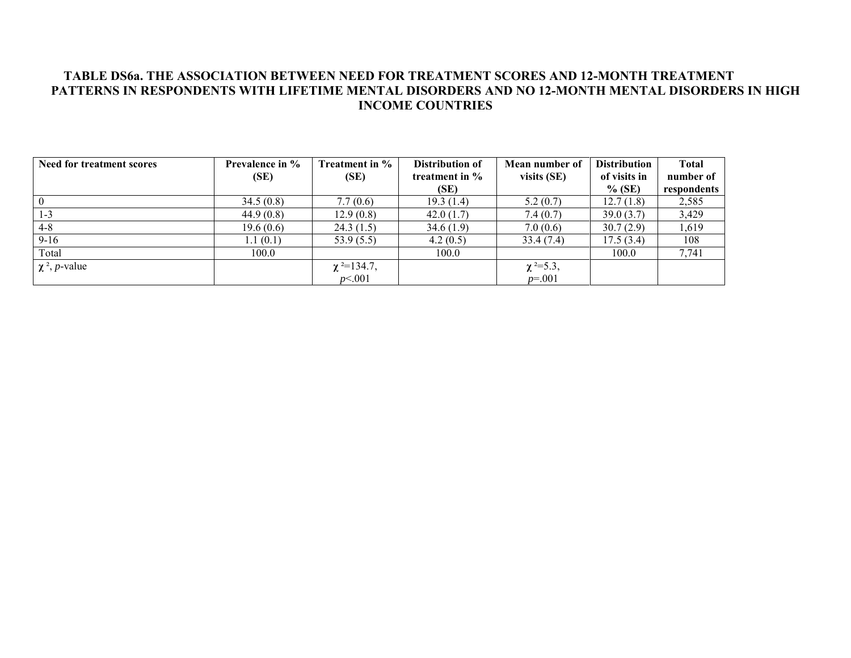#### **TABLE DS6a. THE ASSOCIATION BETWEEN NEED FOR TREATMENT SCORES AND 12-MONTH TREATMENT PATTERNS IN RESPONDENTS WITH LIFETIME MENTAL DISORDERS AND NO 12-MONTH MENTAL DISORDERS IN HIGH INCOME COUNTRIES**

| Need for treatment scores  | Prevalence in % | Treatment in %              | Distribution of | Mean number of   | <b>Distribution</b> | <b>Total</b> |
|----------------------------|-----------------|-----------------------------|-----------------|------------------|---------------------|--------------|
|                            | (SE)            | (SE)                        | treatment in %  | visits $(SE)$    | of visits in        | number of    |
|                            |                 |                             | (SE)            |                  | $%$ (SE)            | respondents  |
|                            | 34.5(0.8)       | 7.7(0.6)                    | 19.3(1.4)       | 5.2(0.7)         | 12.7(1.8)           | 2,585        |
| $1 - 3$                    | 44.9(0.8)       | 12.9(0.8)                   | 42.0(1.7)       | 7.4(0.7)         | 39.0(3.7)           | 3,429        |
| $4 - 8$                    | 19.6(0.6)       | 24.3(1.5)                   | 34.6(1.9)       | 7.0(0.6)         | 30.7(2.9)           | 1,619        |
| $9 - 16$                   | 1.1(0.1)        | 53.9(5.5)                   | 4.2(0.5)        | 33.4(7.4)        | 17.5(3.4)           | 108          |
| Total                      | 100.0           |                             | 100.0           |                  | 100.0               | 7,741        |
| $\chi^2$ , <i>p</i> -value |                 | $\chi$ <sup>2=134.7</sup> , |                 | $\chi^2 = 5.3$ , |                     |              |
|                            |                 | p<.001                      |                 | $p = 0.01$       |                     |              |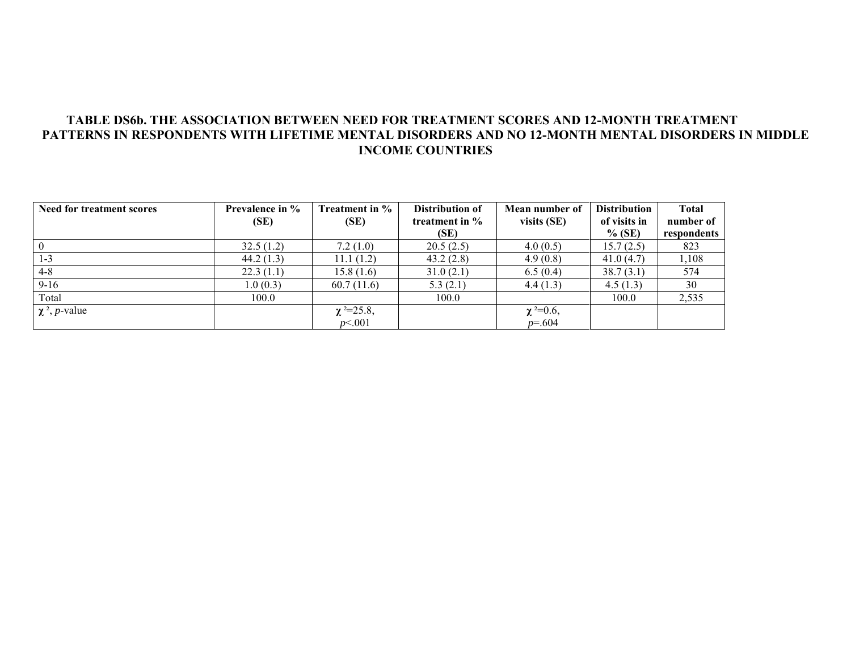## **TABLE DS6b. THE ASSOCIATION BETWEEN NEED FOR TREATMENT SCORES AND 12-MONTH TREATMENT PATTERNS IN RESPONDENTS WITH LIFETIME MENTAL DISORDERS AND NO 12-MONTH MENTAL DISORDERS IN MIDDLE INCOME COUNTRIES**

| <b>Need for treatment scores</b> | Prevalence in %<br>(SE) | Treatment in %<br>(SE) | Distribution of<br>treatment in $\%$ | Mean number of<br>visits (SE) | <b>Distribution</b><br>of visits in | <b>Total</b><br>number of |
|----------------------------------|-------------------------|------------------------|--------------------------------------|-------------------------------|-------------------------------------|---------------------------|
|                                  |                         |                        | (SE)                                 |                               | $%$ (SE)                            | respondents               |
| $\overline{0}$                   | 32.5(1.2)               | 7.2(1.0)               | 20.5(2.5)                            | 4.0(0.5)                      | 15.7(2.5)                           | 823                       |
| $1 - 3$                          | 44.2(1.3)               | 11.1(1.2)              | 43.2(2.8)                            | 4.9(0.8)                      | 41.0(4.7)                           | 1,108                     |
| $4 - 8$                          | 22.3(1.1)               | 15.8(1.6)              | 31.0(2.1)                            | 6.5(0.4)                      | 38.7(3.1)                           | 574                       |
| $9-16$                           | 1.0(0.3)                | 60.7(11.6)             | 5.3(2.1)                             | 4.4(1.3)                      | 4.5(1.3)                            | 30                        |
| Total                            | 100.0                   |                        | 100.0                                |                               | 100.0                               | 2,535                     |
| $\chi^2$ , <i>p</i> -value       |                         | $\chi^2 = 25.8$ ,      |                                      | $\chi^2 = 0.6$ ,              |                                     |                           |
|                                  |                         | p<.001                 |                                      | $p = 604$                     |                                     |                           |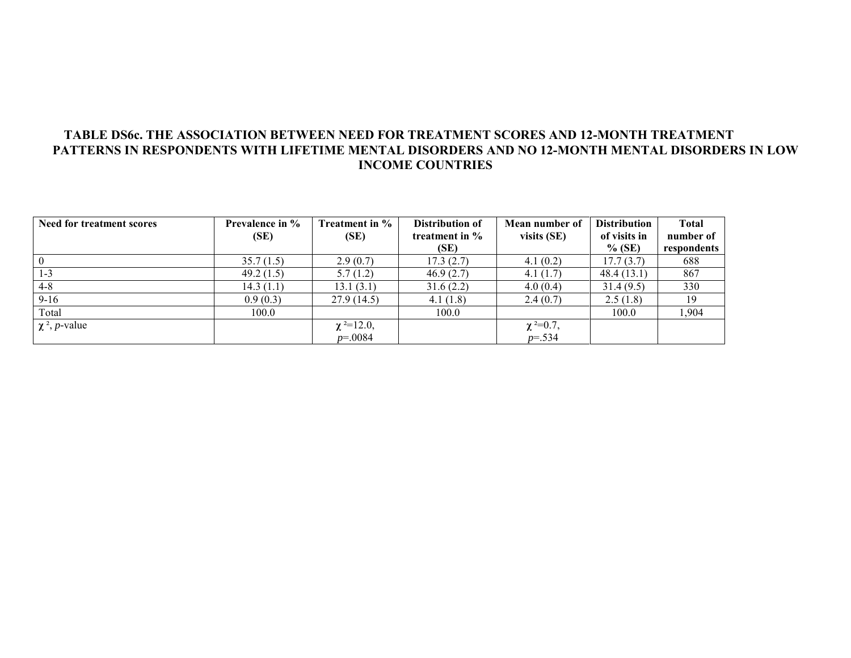### **TABLE DS6c. THE ASSOCIATION BETWEEN NEED FOR TREATMENT SCORES AND 12-MONTH TREATMENT PATTERNS IN RESPONDENTS WITH LIFETIME MENTAL DISORDERS AND NO 12-MONTH MENTAL DISORDERS IN LOW INCOME COUNTRIES**

| Need for treatment scores  | Prevalence in % | Treatment in %    | <b>Distribution of</b> | Mean number of   | <b>Distribution</b> | <b>Total</b> |
|----------------------------|-----------------|-------------------|------------------------|------------------|---------------------|--------------|
|                            | (SE)            | (SE)              | treatment in %         | visits $(SE)$    | of visits in        | number of    |
|                            |                 |                   | (SE)                   |                  | $%$ (SE)            | respondents  |
|                            | 35.7(1.5)       | 2.9(0.7)          | 17.3(2.7)              | 4.1(0.2)         | 17.7(3.7)           | 688          |
| $1 - 3$                    | 49.2(1.5)       | 5.7(1.2)          | 46.9(2.7)              | 4.1 $(1.7)$      | 48.4(13.1)          | 867          |
| $4 - 8$                    | 14.3(1.1)       | 13.1(3.1)         | 31.6(2.2)              | 4.0(0.4)         | 31.4(9.5)           | 330          |
| $9-16$                     | 0.9(0.3)        | 27.9(14.5)        | 4.1(1.8)               | 2.4(0.7)         | 2.5(1.8)            | 19           |
| Total                      | 100.0           |                   | 100.0                  |                  | 100.0               | 1,904        |
| $\chi^2$ , <i>p</i> -value |                 | $\chi^2 = 12.0$ , |                        | $\chi^2 = 0.7$ , |                     |              |
|                            |                 | $p = 0084$        |                        | $p = 534$        |                     |              |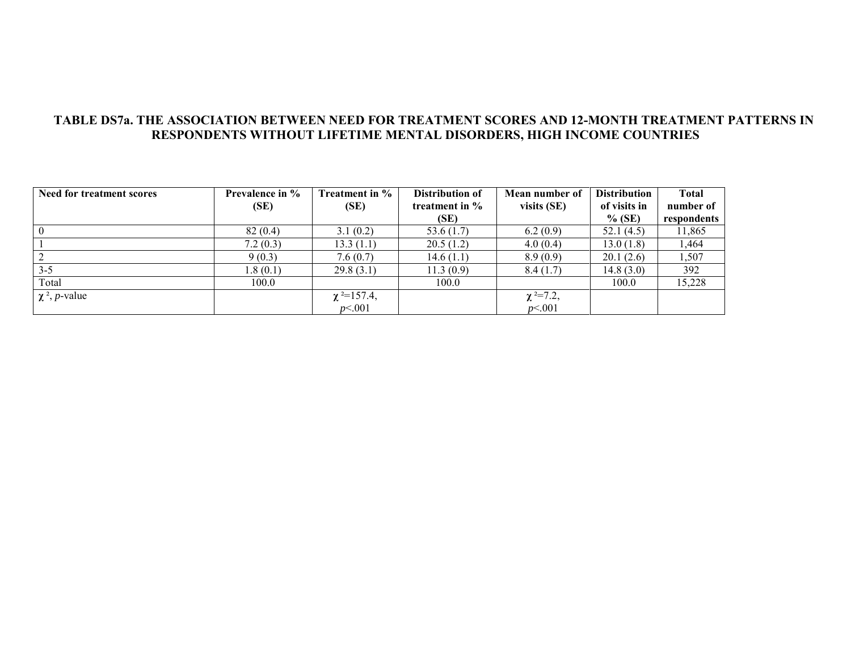### **TABLE DS7a. THE ASSOCIATION BETWEEN NEED FOR TREATMENT SCORES AND 12-MONTH TREATMENT PATTERNS IN RESPONDENTS WITHOUT LIFETIME MENTAL DISORDERS, HIGH INCOME COUNTRIES**

| <b>Need for treatment scores</b> | Prevalence in % | Treatment in %     | Distribution of   | Mean number of   | <b>Distribution</b> | <b>Total</b> |
|----------------------------------|-----------------|--------------------|-------------------|------------------|---------------------|--------------|
|                                  | (SE)            | (SE)               | treatment in $\%$ | visits (SE)      | of visits in        | number of    |
|                                  |                 |                    | (SE)              |                  | $%$ (SE)            | respondents  |
| $\theta$                         | 82(0.4)         | 3.1(0.2)           | 53.6(1.7)         | 6.2(0.9)         | 52.1(4.5)           | 11,865       |
|                                  | 7.2(0.3)        | 13.3(1.1)          | 20.5(1.2)         | 4.0(0.4)         | 13.0(1.8)           | 1,464        |
|                                  | 9(0.3)          | 7.6(0.7)           | 14.6(1.1)         | 8.9(0.9)         | 20.1(2.6)           | 1,507        |
| $3 - 5$                          | 1.8(0.1)        | 29.8(3.1)          | 11.3(0.9)         | 8.4(1.7)         | 14.8(3.0)           | 392          |
| Total                            | 100.0           |                    | 100.0             |                  | 100.0               | 15,228       |
| $\chi^2$ , <i>p</i> -value       |                 | $\chi^2 = 157.4$ , |                   | $\chi^2 = 7.2$ , |                     |              |
|                                  |                 | p<.001             |                   | p<.001           |                     |              |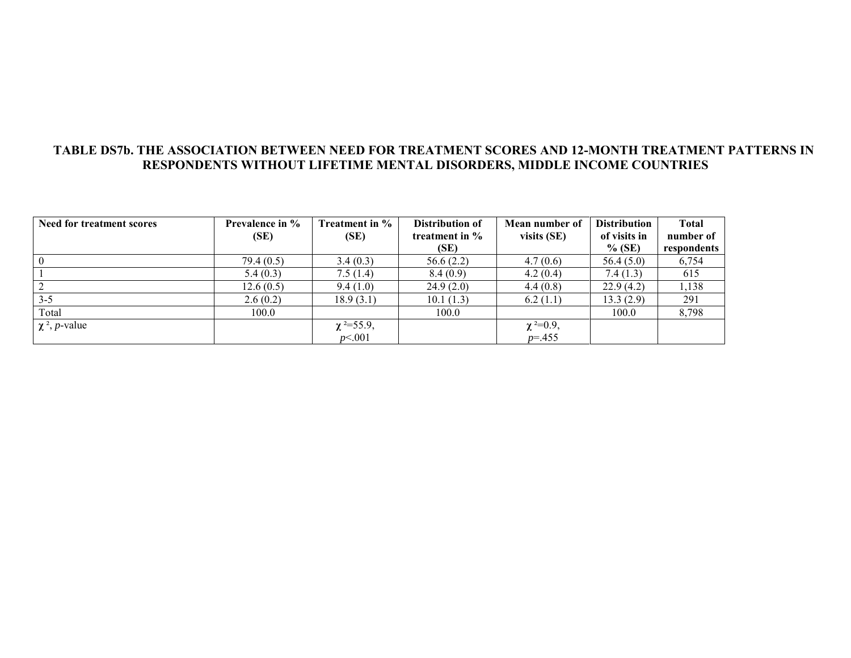#### **TABLE DS7b. THE ASSOCIATION BETWEEN NEED FOR TREATMENT SCORES AND 12-MONTH TREATMENT PATTERNS IN RESPONDENTS WITHOUT LIFETIME MENTAL DISORDERS, MIDDLE INCOME COUNTRIES**

| <b>Need for treatment scores</b> | Prevalence in % | Treatment in %    | <b>Distribution of</b> | Mean number of             | <b>Distribution</b> | <b>Total</b> |
|----------------------------------|-----------------|-------------------|------------------------|----------------------------|---------------------|--------------|
|                                  | (SE)            | (SE)              | treatment in $\%$      | visits (SE)                | of visits in        | number of    |
|                                  |                 |                   | (SE)                   |                            | $%$ (SE)            | respondents  |
|                                  | 79.4(0.5)       | 3.4(0.3)          | 56.6(2.2)              | 4.7(0.6)                   | 56.4(5.0)           | 6,754        |
|                                  | 5.4(0.3)        | 7.5(1.4)          | 8.4(0.9)               | 4.2(0.4)                   | 7.4(1.3)            | 615          |
|                                  | 12.6(0.5)       | 9.4(1.0)          | 24.9(2.0)              | 4.4(0.8)                   | 22.9(4.2)           | 1,138        |
| $3 - 5$                          | 2.6(0.2)        | 18.9(3.1)         | 10.1(1.3)              | 6.2(1.1)                   | 13.3(2.9)           | 291          |
| Total                            | 100.0           |                   | 100.0                  |                            | 100.0               | 8,798        |
| $\chi^2$ , <i>p</i> -value       |                 | $\chi^2 = 55.9$ , |                        | $\chi^{2=0.9}$ ,<br>p=.455 |                     |              |
|                                  |                 | p<.001            |                        |                            |                     |              |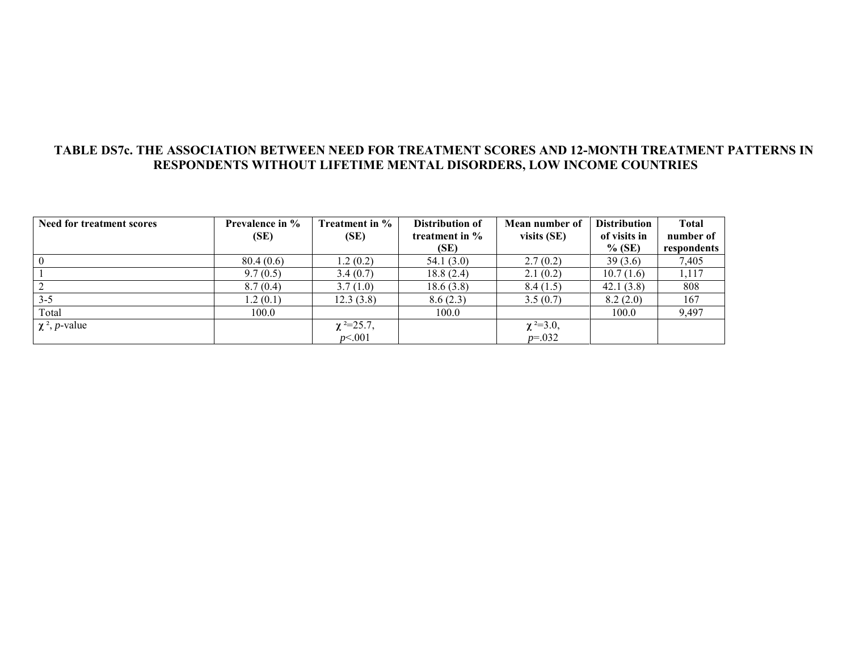#### **TABLE DS7c. THE ASSOCIATION BETWEEN NEED FOR TREATMENT SCORES AND 12-MONTH TREATMENT PATTERNS IN RESPONDENTS WITHOUT LIFETIME MENTAL DISORDERS, LOW INCOME COUNTRIES**

| <b>Need for treatment scores</b> | <b>Prevalence in %</b> | Treatment in %    | Distribution of   | Mean number of   | <b>Distribution</b> | <b>Total</b> |
|----------------------------------|------------------------|-------------------|-------------------|------------------|---------------------|--------------|
|                                  | (SE)                   | (SE)              | treatment in $\%$ | visits $(SE)$    | of visits in        | number of    |
|                                  |                        |                   | (SE)              |                  | $%$ (SE)            | respondents  |
|                                  | 80.4(0.6)              | 1.2(0.2)          | 54.1(3.0)         | 2.7(0.2)         | 39(3.6)             | 7,405        |
|                                  | 9.7(0.5)               | 3.4(0.7)          | 18.8(2.4)         | 2.1(0.2)         | 10.7(1.6)           | 1,117        |
|                                  | 8.7(0.4)               | 3.7(1.0)          | 18.6(3.8)         | 8.4(1.5)         | 42.1(3.8)           | 808          |
| $3 - 5$                          | 1.2(0.1)               | 12.3(3.8)         | 8.6(2.3)          | 3.5(0.7)         | 8.2(2.0)            | 167          |
| Total                            | 100.0                  |                   | 100.0             |                  | 100.0               | 9,497        |
| $\chi^2$ , <i>p</i> -value       |                        | $\chi^2 = 25.7$ , |                   | $\chi^2 = 3.0$ , |                     |              |
|                                  |                        | p<.001            |                   | $p = 0.032$      |                     |              |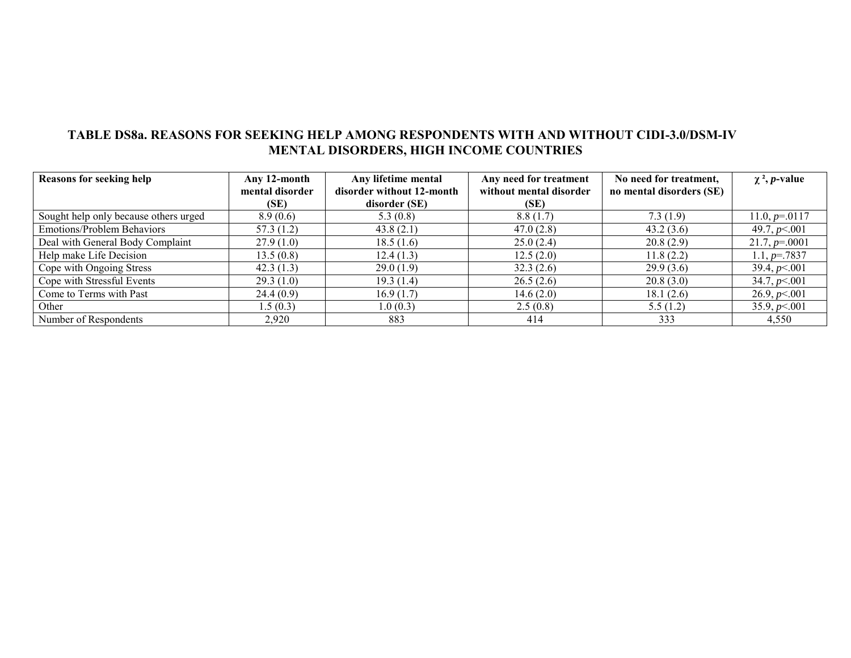## **TABLE DS8a. REASONS FOR SEEKING HELP AMONG RESPONDENTS WITH AND WITHOUT CIDI-3.0/DSM-IV MENTAL DISORDERS, HIGH INCOME COUNTRIES**

| <b>Reasons for seeking help</b>       | Any 12-month    | Any lifetime mental       | Any need for treatment  | No need for treatment,   | $\chi^2$ , <i>p</i> -value |
|---------------------------------------|-----------------|---------------------------|-------------------------|--------------------------|----------------------------|
|                                       | mental disorder | disorder without 12-month | without mental disorder | no mental disorders (SE) |                            |
|                                       | (SE)            | disorder (SE)             | (SE)                    |                          |                            |
| Sought help only because others urged | 8.9(0.6)        | 5.3(0.8)                  | 8.8(1.7)                | 7.3(1.9)                 | $11.0, p = 0117$           |
| Emotions/Problem Behaviors            | 57.3(1.2)       | 43.8(2.1)                 | 47.0(2.8)               | 43.2(3.6)                | 49.7, $p<001$              |
| Deal with General Body Complaint      | 27.9(1.0)       | 18.5(1.6)                 | 25.0(2.4)               | 20.8(2.9)                | $21.7, p = 0001$           |
| Help make Life Decision               | 13.5(0.8)       | 12.4(1.3)                 | 12.5(2.0)               | 11.8(2.2)                | 1.1, $p = .7837$           |
| Cope with Ongoing Stress              | 42.3(1.3)       | 29.0(1.9)                 | 32.3(2.6)               | 29.9(3.6)                | 39.4, $p<001$              |
| Cope with Stressful Events            | 29.3(1.0)       | 19.3(1.4)                 | 26.5(2.6)               | 20.8(3.0)                | 34.7, p < 001              |
| Come to Terms with Past               | 24.4(0.9)       | 16.9(1.7)                 | 14.6(2.0)               | 18.1(2.6)                | 26.9, p< 001               |
| Other                                 | 1.5(0.3)        | 1.0(0.3)                  | 2.5(0.8)                | 5.5(1.2)                 | 35.9, p < 001              |
| Number of Respondents                 | 2,920           | 883                       | 414                     | 333                      | 4,550                      |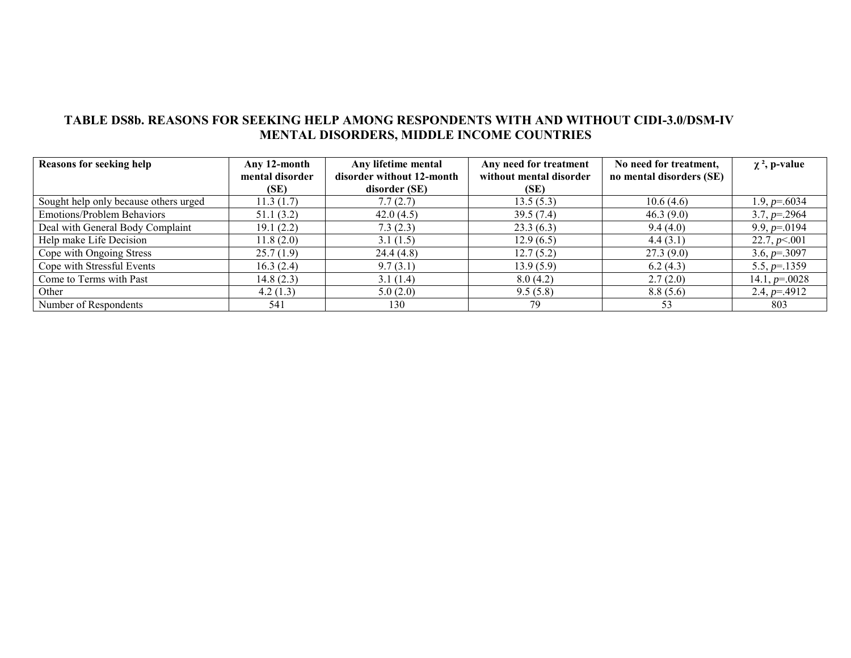### **TABLE DS8b. REASONS FOR SEEKING HELP AMONG RESPONDENTS WITH AND WITHOUT CIDI-3.0/DSM-IV MENTAL DISORDERS, MIDDLE INCOME COUNTRIES**

| <b>Reasons for seeking help</b>       | Any 12-month    | Any lifetime mental       | Any need for treatment  | No need for treatment,   | $\chi^2$ , p-value |
|---------------------------------------|-----------------|---------------------------|-------------------------|--------------------------|--------------------|
|                                       | mental disorder | disorder without 12-month | without mental disorder | no mental disorders (SE) |                    |
|                                       | (SE)            | disorder (SE)             | (SE)                    |                          |                    |
| Sought help only because others urged | 11.3(1.7)       | 7.7(2.7)                  | 13.5(5.3)               | 10.6(4.6)                | 1.9, $p = .6034$   |
| <b>Emotions/Problem Behaviors</b>     | 51.1(3.2)       | 42.0(4.5)                 | 39.5(7.4)               | 46.3(9.0)                | $3.7, p = 2964$    |
| Deal with General Body Complaint      | 19.1(2.2)       | 7.3(2.3)                  | 23.3(6.3)               | 9.4(4.0)                 | $9.9, p = 0.0194$  |
| Help make Life Decision               | 11.8(2.0)       | 3.1(1.5)                  | 12.9(6.5)               | 4.4(3.1)                 | 22.7, $p<001$      |
| Cope with Ongoing Stress              | 25.7(1.9)       | 24.4(4.8)                 | 12.7(5.2)               | 27.3(9.0)                | $3.6, p = 3097$    |
| Cope with Stressful Events            | 16.3(2.4)       | 9.7(3.1)                  | 13.9(5.9)               | 6.2(4.3)                 | $5.5, p=.1359$     |
| Come to Terms with Past               | 14.8(2.3)       | 3.1(1.4)                  | 8.0(4.2)                | 2.7(2.0)                 | $14.1, p = 0028$   |
| Other                                 | 4.2(1.3)        | 5.0(2.0)                  | 9.5(5.8)                | 8.8(5.6)                 | 2.4, $p = 4912$    |
| Number of Respondents                 | 541             | 130                       | 79                      | 53                       | 803                |